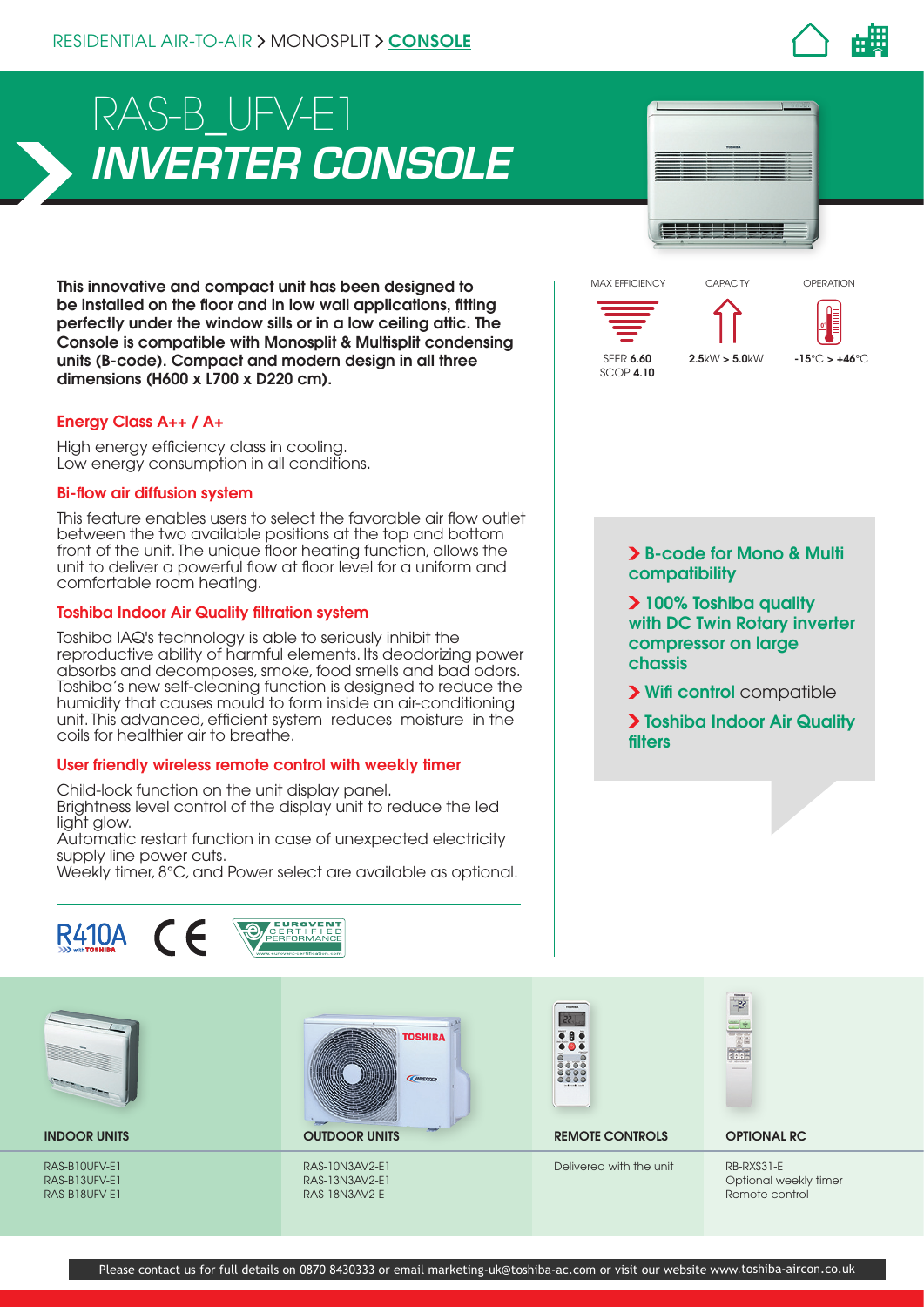

# *INVERTER CONSOLE* RAS-B\_UFV-E1

This innovative and compact unit has been designed to be installed on the floor and in low wall applications, fitting perfectly under the window sills or in a low ceiling attic. The Console is compatible with Monosplit & Multisplit condensing units (B-code). Compact and modern design in all three dimensions (H600 x L700 x D220 cm).

## Energy Class A++ / A+

High energy efficiency class in cooling. Low energy consumption in all conditions.

#### Bi-flow air diffusion system

This feature enables users to select the favorable air flow outlet between the two available positions at the top and bottom front of the unit. The unique floor heating function, allows the unit to deliver a powerful flow at floor level for a uniform and comfortable room heating.

#### Toshiba Indoor Air Quality filtration system

Toshiba IAQ's technology is able to seriously inhibit the reproductive ability of harmful elements. Its deodorizing power absorbs and decomposes, smoke, food smells and bad odors. Toshiba's new self-cleaning function is designed to reduce the humidity that causes mould to form inside an air-conditioning unit. This advanced, efficient system reduces moisture in the coils for healthier air to breathe.

#### User friendly wireless remote control with weekly timer

Child-lock function on the unit display panel. Brightness level control of the display unit to reduce the led light glow.

Automatic restart function in case of unexpected electricity supply line power cuts.

Weekly timer, 8°C, and Power select are available as optional.





 B-code for Mono & Multi **compatibility** 

 $2.5$ kW > 5.0kW  $-15$ °C >  $+46$ °C

**0 °**

OPERATION

SEER 6.60  $SCOP$  4.10

MAX EFFICIENCY CAPACITY

 100% Toshiba quality with DC Twin Rotary inverter compressor on large chassis

> Wifi control compatible

> Toshiba Indoor Air Quality filters